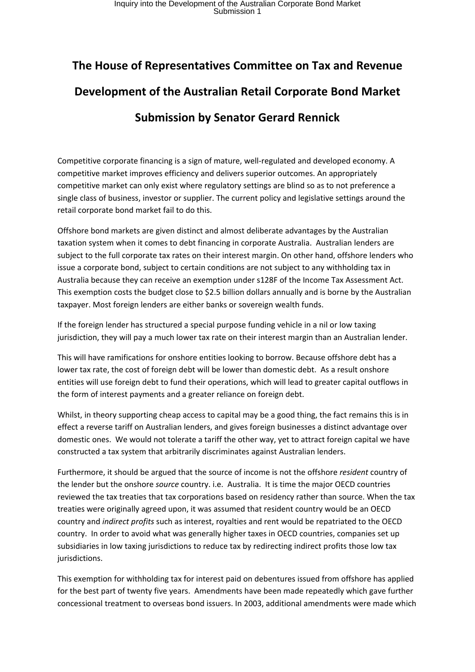## **The House of Representatives Committee on Tax and Revenue Development of the Australian Retail Corporate Bond Market Submission by Senator Gerard Rennick**

Competitive corporate financing is a sign of mature, well-regulated and developed economy. A competitive market improves efficiency and delivers superior outcomes. An appropriately competitive market can only exist where regulatory settings are blind so as to not preference a single class of business, investor or supplier. The current policy and legislative settings around the retail corporate bond market fail to do this.

Offshore bond markets are given distinct and almost deliberate advantages by the Australian taxation system when it comes to debt financing in corporate Australia. Australian lenders are subject to the full corporate tax rates on their interest margin. On other hand, offshore lenders who issue a corporate bond, subject to certain conditions are not subject to any withholding tax in Australia because they can receive an exemption under s128F of the Income Tax Assessment Act. This exemption costs the budget close to \$2.5 billion dollars annually and is borne by the Australian taxpayer. Most foreign lenders are either banks or sovereign wealth funds.

If the foreign lender has structured a special purpose funding vehicle in a nil or low taxing jurisdiction, they will pay a much lower tax rate on their interest margin than an Australian lender.

This will have ramifications for onshore entities looking to borrow. Because offshore debt has a lower tax rate, the cost of foreign debt will be lower than domestic debt. As a result onshore entities will use foreign debt to fund their operations, which will lead to greater capital outflows in the form of interest payments and a greater reliance on foreign debt.

Whilst, in theory supporting cheap access to capital may be a good thing, the fact remains this is in effect a reverse tariff on Australian lenders, and gives foreign businesses a distinct advantage over domestic ones. We would not tolerate a tariff the other way, yet to attract foreign capital we have constructed a tax system that arbitrarily discriminates against Australian lenders.

Furthermore, it should be argued that the source of income is not the offshore *resident* country of the lender but the onshore *source* country. i.e. Australia. It is time the major OECD countries reviewed the tax treaties that tax corporations based on residency rather than source. When the tax treaties were originally agreed upon, it was assumed that resident country would be an OECD country and *indirect profits* such as interest, royalties and rent would be repatriated to the OECD country. In order to avoid what was generally higher taxes in OECD countries, companies set up subsidiaries in low taxing jurisdictions to reduce tax by redirecting indirect profits those low tax jurisdictions.

This exemption for withholding tax for interest paid on debentures issued from offshore has applied for the best part of twenty five years. Amendments have been made repeatedly which gave further concessional treatment to overseas bond issuers. In 2003, additional amendments were made which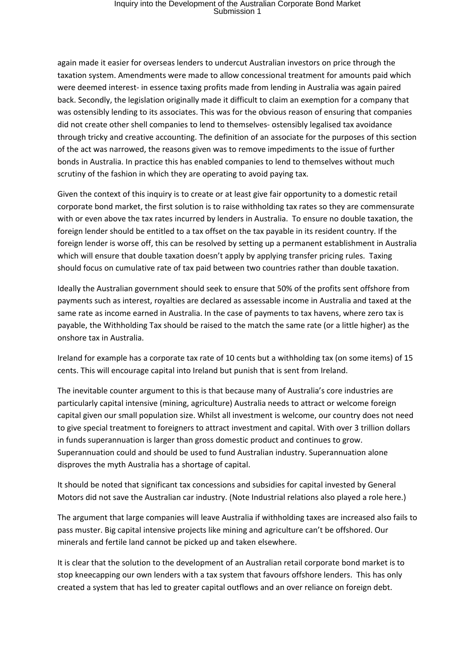## Inquiry into the Development of the Australian Corporate Bond Market Submission 1

again made it easier for overseas lenders to undercut Australian investors on price through the taxation system. Amendments were made to allow concessional treatment for amounts paid which were deemed interest- in essence taxing profits made from lending in Australia was again paired back. Secondly, the legislation originally made it difficult to claim an exemption for a company that was ostensibly lending to its associates. This was for the obvious reason of ensuring that companies did not create other shell companies to lend to themselves- ostensibly legalised tax avoidance through tricky and creative accounting. The definition of an associate for the purposes of this section of the act was narrowed, the reasons given was to remove impediments to the issue of further bonds in Australia. In practice this has enabled companies to lend to themselves without much scrutiny of the fashion in which they are operating to avoid paying tax.

Given the context of this inquiry is to create or at least give fair opportunity to a domestic retail corporate bond market, the first solution is to raise withholding tax rates so they are commensurate with or even above the tax rates incurred by lenders in Australia. To ensure no double taxation, the foreign lender should be entitled to a tax offset on the tax payable in its resident country. If the foreign lender is worse off, this can be resolved by setting up a permanent establishment in Australia which will ensure that double taxation doesn't apply by applying transfer pricing rules. Taxing should focus on cumulative rate of tax paid between two countries rather than double taxation.

Ideally the Australian government should seek to ensure that 50% of the profits sent offshore from payments such as interest, royalties are declared as assessable income in Australia and taxed at the same rate as income earned in Australia. In the case of payments to tax havens, where zero tax is payable, the Withholding Tax should be raised to the match the same rate (or a little higher) as the onshore tax in Australia.

Ireland for example has a corporate tax rate of 10 cents but a withholding tax (on some items) of 15 cents. This will encourage capital into Ireland but punish that is sent from Ireland.

The inevitable counter argument to this is that because many of Australia's core industries are particularly capital intensive (mining, agriculture) Australia needs to attract or welcome foreign capital given our small population size. Whilst all investment is welcome, our country does not need to give special treatment to foreigners to attract investment and capital. With over 3 trillion dollars in funds superannuation is larger than gross domestic product and continues to grow. Superannuation could and should be used to fund Australian industry. Superannuation alone disproves the myth Australia has a shortage of capital.

It should be noted that significant tax concessions and subsidies for capital invested by General Motors did not save the Australian car industry. (Note Industrial relations also played a role here.)

The argument that large companies will leave Australia if withholding taxes are increased also fails to pass muster. Big capital intensive projects like mining and agriculture can't be offshored. Our minerals and fertile land cannot be picked up and taken elsewhere.

It is clear that the solution to the development of an Australian retail corporate bond market is to stop kneecapping our own lenders with a tax system that favours offshore lenders. This has only created a system that has led to greater capital outflows and an over reliance on foreign debt.